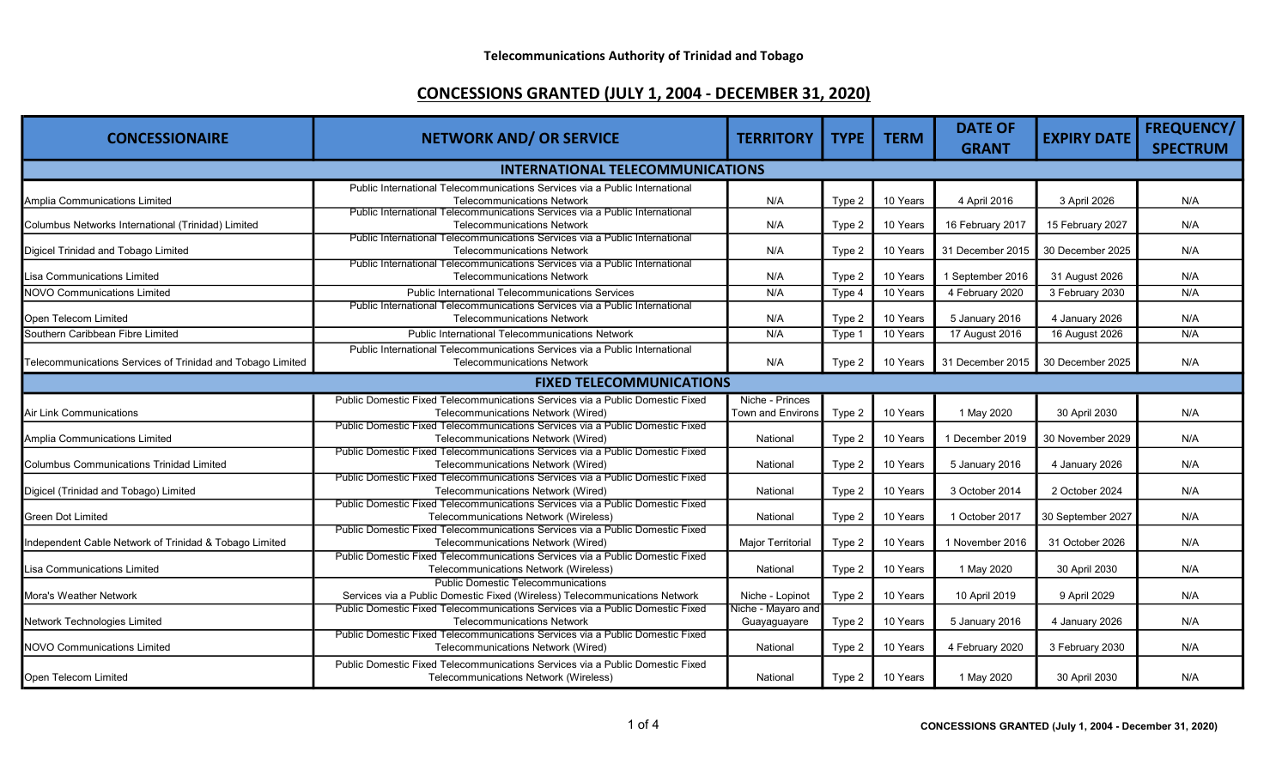| <b>CONCESSIONAIRE</b>                                      | <b>NETWORK AND/ OR SERVICE</b>                                                                                      | <b>TERRITORY</b>         | <b>TYPE</b> | <b>TERM</b> | <b>DATE OF</b>   | <b>EXPIRY DATE</b> | <b>FREQUENCY/</b> |  |
|------------------------------------------------------------|---------------------------------------------------------------------------------------------------------------------|--------------------------|-------------|-------------|------------------|--------------------|-------------------|--|
|                                                            |                                                                                                                     |                          |             |             | <b>GRANT</b>     |                    | <b>SPECTRUM</b>   |  |
| <b>INTERNATIONAL TELECOMMUNICATIONS</b>                    |                                                                                                                     |                          |             |             |                  |                    |                   |  |
|                                                            | Public International Telecommunications Services via a Public International                                         |                          |             |             |                  |                    |                   |  |
| Amplia Communications Limited                              | <b>Telecommunications Network</b>                                                                                   | N/A                      | Type 2      | 10 Years    | 4 April 2016     | 3 April 2026       | N/A               |  |
| Columbus Networks International (Trinidad) Limited         | Public International Telecommunications Services via a Public International<br><b>Telecommunications Network</b>    | N/A                      | Type 2      | 10 Years    | 16 February 2017 | 15 February 2027   | N/A               |  |
|                                                            | Public International Telecommunications Services via a Public International                                         |                          |             |             |                  |                    |                   |  |
| Digicel Trinidad and Tobago Limited                        | <b>Telecommunications Network</b>                                                                                   | N/A                      | Type 2      | 10 Years    | 31 December 2015 | 30 December 2025   | N/A               |  |
|                                                            | Public International Telecommunications Services via a Public International                                         |                          |             |             |                  |                    |                   |  |
| Lisa Communications Limited                                | <b>Telecommunications Network</b>                                                                                   | N/A                      | Type 2      | 10 Years    | 1 September 2016 | 31 August 2026     | N/A               |  |
| <b>NOVO Communications Limited</b>                         | <b>Public International Telecommunications Services</b>                                                             | N/A                      | Type 4      | 10 Years    | 4 February 2020  | 3 February 2030    | N/A               |  |
|                                                            | Public International Telecommunications Services via a Public International                                         |                          |             |             |                  |                    |                   |  |
| Open Telecom Limited                                       | <b>Telecommunications Network</b>                                                                                   | N/A                      | Type 2      | 10 Years    | 5 January 2016   | 4 January 2026     | N/A               |  |
| Southern Caribbean Fibre Limited                           | <b>Public International Telecommunications Network</b>                                                              | N/A                      | Type 1      | 10 Years    | 17 August 2016   | 16 August 2026     | N/A               |  |
|                                                            | Public International Telecommunications Services via a Public International                                         |                          |             |             |                  |                    |                   |  |
| Telecommunications Services of Trinidad and Tobago Limited | <b>Telecommunications Network</b>                                                                                   | N/A                      | Type 2      | 10 Years    | 31 December 2015 | 30 December 2025   | N/A               |  |
|                                                            | <b>FIXED TELECOMMUNICATIONS</b>                                                                                     |                          |             |             |                  |                    |                   |  |
|                                                            | Public Domestic Fixed Telecommunications Services via a Public Domestic Fixed                                       | Niche - Princes          |             |             |                  |                    |                   |  |
| <b>Air Link Communications</b>                             | Telecommunications Network (Wired)                                                                                  | <b>Town and Environs</b> | Type 2      | 10 Years    | 1 May 2020       | 30 April 2030      | N/A               |  |
|                                                            | Public Domestic Fixed Telecommunications Services via a Public Domestic Fixed                                       |                          |             |             |                  |                    |                   |  |
| Amplia Communications Limited                              | Telecommunications Network (Wired)                                                                                  | National                 | Type 2      | 10 Years    | 1 December 2019  | 30 November 2029   | N/A               |  |
|                                                            | Public Domestic Fixed Telecommunications Services via a Public Domestic Fixed                                       |                          |             |             |                  |                    |                   |  |
| <b>Columbus Communications Trinidad Limited</b>            | Telecommunications Network (Wired)                                                                                  | National                 | Type 2      | 10 Years    | 5 January 2016   | 4 January 2026     | N/A               |  |
| Digicel (Trinidad and Tobago) Limited                      | Public Domestic Fixed Telecommunications Services via a Public Domestic Fixed<br>Telecommunications Network (Wired) | National                 |             | 10 Years    | 3 October 2014   | 2 October 2024     | N/A               |  |
|                                                            | Public Domestic Fixed Telecommunications Services via a Public Domestic Fixed                                       |                          | Type 2      |             |                  |                    |                   |  |
| <b>Green Dot Limited</b>                                   | Telecommunications Network (Wireless)                                                                               | National                 | Type 2      | 10 Years    | 1 October 2017   | 30 September 2027  | N/A               |  |
|                                                            | Public Domestic Fixed Telecommunications Services via a Public Domestic Fixed                                       |                          |             |             |                  |                    |                   |  |
| Independent Cable Network of Trinidad & Tobago Limited     | Telecommunications Network (Wired)                                                                                  | <b>Major Territorial</b> | Type 2      | 10 Years    | 1 November 2016  | 31 October 2026    | N/A               |  |
|                                                            | Public Domestic Fixed Telecommunications Services via a Public Domestic Fixed                                       |                          |             |             |                  |                    |                   |  |
| Lisa Communications Limited                                | Telecommunications Network (Wireless)                                                                               | National                 | Type 2      | 10 Years    | 1 May 2020       | 30 April 2030      | N/A               |  |
|                                                            | <b>Public Domestic Telecommunications</b>                                                                           |                          |             |             |                  |                    |                   |  |
| Mora's Weather Network                                     | Services via a Public Domestic Fixed (Wireless) Telecommunications Network                                          | Niche - Lopinot          | Type 2      | 10 Years    | 10 April 2019    | 9 April 2029       | N/A               |  |
|                                                            | Public Domestic Fixed Telecommunications Services via a Public Domestic Fixed<br><b>Telecommunications Network</b>  | Niche - Mayaro and       |             | 10 Years    |                  |                    | N/A               |  |
| Network Technologies Limited                               | Public Domestic Fixed Telecommunications Services via a Public Domestic Fixed                                       | Guayaguayare             | Type 2      |             | 5 January 2016   | 4 January 2026     |                   |  |
| <b>NOVO Communications Limited</b>                         | Telecommunications Network (Wired)                                                                                  | National                 | Type 2      | 10 Years    | 4 February 2020  | 3 February 2030    | N/A               |  |
|                                                            | Public Domestic Fixed Telecommunications Services via a Public Domestic Fixed                                       |                          |             |             |                  |                    |                   |  |
| Open Telecom Limited                                       | Telecommunications Network (Wireless)                                                                               | National                 | Type 2      | 10 Years    | 1 May 2020       | 30 April 2030      | N/A               |  |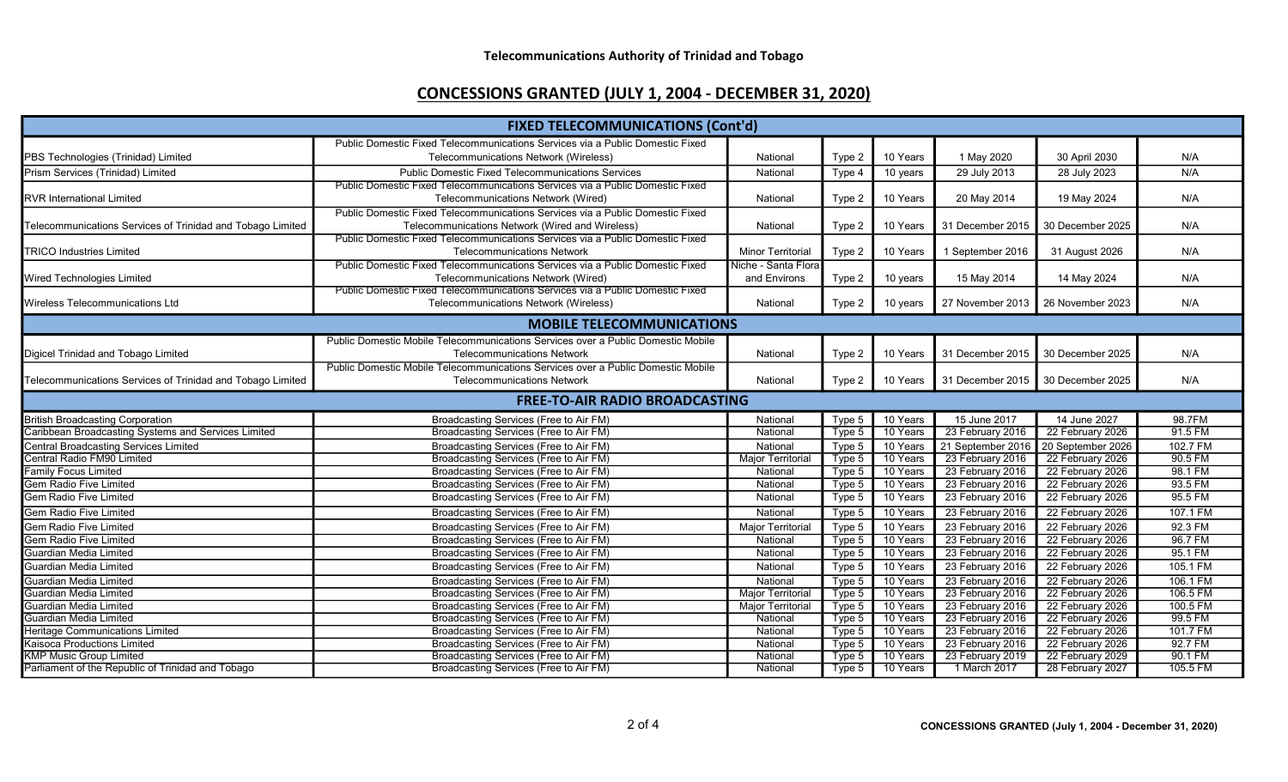| <b>FIXED TELECOMMUNICATIONS (Cont'd)</b>                            |                                                                                                                        |                          |        |          |                   |                   |          |  |
|---------------------------------------------------------------------|------------------------------------------------------------------------------------------------------------------------|--------------------------|--------|----------|-------------------|-------------------|----------|--|
|                                                                     | Public Domestic Fixed Telecommunications Services via a Public Domestic Fixed                                          |                          |        |          |                   |                   |          |  |
| PBS Technologies (Trinidad) Limited                                 | Telecommunications Network (Wireless)                                                                                  | National                 | Type 2 | 10 Years | 1 May 2020        | 30 April 2030     | N/A      |  |
| Prism Services (Trinidad) Limited                                   | <b>Public Domestic Fixed Telecommunications Services</b>                                                               | National                 | Type 4 | 10 years | 29 July 2013      | 28 July 2023      | N/A      |  |
| <b>RVR International Limited</b>                                    | Public Domestic Fixed Telecommunications Services via a Public Domestic Fixed<br>Telecommunications Network (Wired)    | National                 | Type 2 | 10 Years | 20 May 2014       | 19 May 2024       | N/A      |  |
|                                                                     | Public Domestic Fixed Telecommunications Services via a Public Domestic Fixed                                          |                          |        |          |                   |                   |          |  |
| Telecommunications Services of Trinidad and Tobago Limited          | Telecommunications Network (Wired and Wireless)                                                                        | National                 | Type 2 | 10 Years | 31 December 2015  | 30 December 2025  | N/A      |  |
|                                                                     | Public Domestic Fixed Telecommunications Services via a Public Domestic Fixed                                          |                          |        |          |                   |                   |          |  |
| <b>TRICO Industries Limited</b>                                     | <b>Telecommunications Network</b>                                                                                      | <b>Minor Territorial</b> | Type 2 | 10 Years | 1 September 2016  | 31 August 2026    | N/A      |  |
|                                                                     | Public Domestic Fixed Telecommunications Services via a Public Domestic Fixed                                          | Niche - Santa Flora      |        |          |                   |                   |          |  |
| <b>Wired Technologies Limited</b>                                   | Telecommunications Network (Wired)                                                                                     | and Environs             | Type 2 | 10 years | 15 May 2014       | 14 May 2024       | N/A      |  |
| <b>Wireless Telecommunications Ltd</b>                              | Public Domestic Fixed Telecommunications Services via a Public Domestic Fixed<br>Telecommunications Network (Wireless) | National                 | Type 2 | 10 years | 27 November 2013  | 26 November 2023  | N/A      |  |
| <b>MOBILE TELECOMMUNICATIONS</b>                                    |                                                                                                                        |                          |        |          |                   |                   |          |  |
|                                                                     | Public Domestic Mobile Telecommunications Services over a Public Domestic Mobile                                       |                          |        |          |                   |                   |          |  |
| Digicel Trinidad and Tobago Limited                                 | <b>Telecommunications Network</b>                                                                                      | National                 | Type 2 | 10 Years | 31 December 2015  | 30 December 2025  | N/A      |  |
|                                                                     | Public Domestic Mobile Telecommunications Services over a Public Domestic Mobile                                       |                          |        |          |                   |                   |          |  |
| Telecommunications Services of Trinidad and Tobago Limited          | <b>Telecommunications Network</b>                                                                                      | National                 | Type 2 | 10 Years | 31 December 2015  | 30 December 2025  | N/A      |  |
| <b>FREE-TO-AIR RADIO BROADCASTING</b>                               |                                                                                                                        |                          |        |          |                   |                   |          |  |
| <b>British Broadcasting Corporation</b>                             | Broadcasting Services (Free to Air FM)                                                                                 | National                 | Type 5 | 10 Years | 15 June 2017      | 14 June 2027      | 98.7FM   |  |
| Caribbean Broadcasting Systems and Services Limited                 | Broadcasting Services (Free to Air FM)                                                                                 | National                 | Type 5 | 10 Years | 23 February 2016  | 22 February 2026  | 91.5 FM  |  |
| Central Broadcasting Services Limited<br>Central Radio FM90 Limited | Broadcasting Services (Free to Air FM)                                                                                 | National                 | Type 5 | 10 Years | 21 September 2016 | 20 September 2026 | 102.7 FM |  |
|                                                                     | Broadcasting Services (Free to Air FM)                                                                                 | <b>Major Territorial</b> | Type 5 | 10 Years | 23 February 2016  | 22 February 2026  | 90.5 FM  |  |
| <b>Family Focus Limited</b>                                         | Broadcasting Services (Free to Air FM)                                                                                 | National                 | Type 5 | 10 Years | 23 February 2016  | 22 February 2026  | 98.1 FM  |  |
| Gem Radio Five Limited                                              | Broadcasting Services (Free to Air FM)                                                                                 | National                 | Type 5 | 10 Years | 23 February 2016  | 22 February 2026  | 93.5 FM  |  |
| <b>Gem Radio Five Limited</b>                                       | Broadcasting Services (Free to Air FM)                                                                                 | National                 | Type 5 | 10 Years | 23 February 2016  | 22 February 2026  | 95.5 FM  |  |
| <b>Gem Radio Five Limited</b>                                       | Broadcasting Services (Free to Air FM)                                                                                 | National                 | Type 5 | 10 Years | 23 February 2016  | 22 February 2026  | 107.1 FM |  |
| <b>Gem Radio Five Limited</b>                                       | Broadcasting Services (Free to Air FM)                                                                                 | Major Territorial        | Type 5 | 10 Years | 23 February 2016  | 22 February 2026  | 92.3 FM  |  |
| Gem Radio Five Limited                                              | Broadcasting Services (Free to Air FM)                                                                                 | National                 | Type 5 | 10 Years | 23 February 2016  | 22 February 2026  | 96.7 FM  |  |
| Guardian Media Limited                                              | Broadcasting Services (Free to Air FM)                                                                                 | National                 | Type 5 | 10 Years | 23 February 2016  | 22 February 2026  | 95.1 FM  |  |
| Guardian Media Limited                                              | Broadcasting Services (Free to Air FM)                                                                                 | National                 | Type 5 | 10 Years | 23 February 2016  | 22 February 2026  | 105.1 FM |  |
| Guardian Media Limited                                              | Broadcasting Services (Free to Air FM)                                                                                 | National                 | Type 5 | 10 Years | 23 February 2016  | 22 February 2026  | 106.1 FM |  |
| Guardian Media Limited                                              | Broadcasting Services (Free to Air FM)                                                                                 | <b>Major Territorial</b> | Type 5 | 10 Years | 23 February 2016  | 22 February 2026  | 106.5 FM |  |
| Guardian Media Limited                                              | Broadcasting Services (Free to Air FM)                                                                                 | <b>Major Territorial</b> | Type 5 | 10 Years | 23 February 2016  | 22 February 2026  | 100.5 FM |  |
| Guardian Media Limited                                              | Broadcasting Services (Free to Air FM)                                                                                 | National                 | Type 5 | 10 Years | 23 February 2016  | 22 February 2026  | 99.5 FM  |  |
| <b>Heritage Communications Limited</b>                              | Broadcasting Services (Free to Air FM)                                                                                 | National                 | Type 5 | 10 Years | 23 February 2016  | 22 February 2026  | 101.7 FM |  |
| Kaisoca Productions Limited                                         | Broadcasting Services (Free to Air FM)                                                                                 | National                 | Type 5 | 10 Years | 23 February 2016  | 22 February 2026  | 92.7 FM  |  |
| <b>KMP Music Group Limited</b>                                      | Broadcasting Services (Free to Air FM)                                                                                 | National                 | Type 5 | 10 Years | 23 February 2019  | 22 February 2029  | 90.1 FM  |  |
| Parliament of the Republic of Trinidad and Tobago                   | Broadcasting Services (Free to Air FM)                                                                                 | National                 | Type 5 | 10 Years | 1 March 2017      | 28 February 2027  | 105.5 FM |  |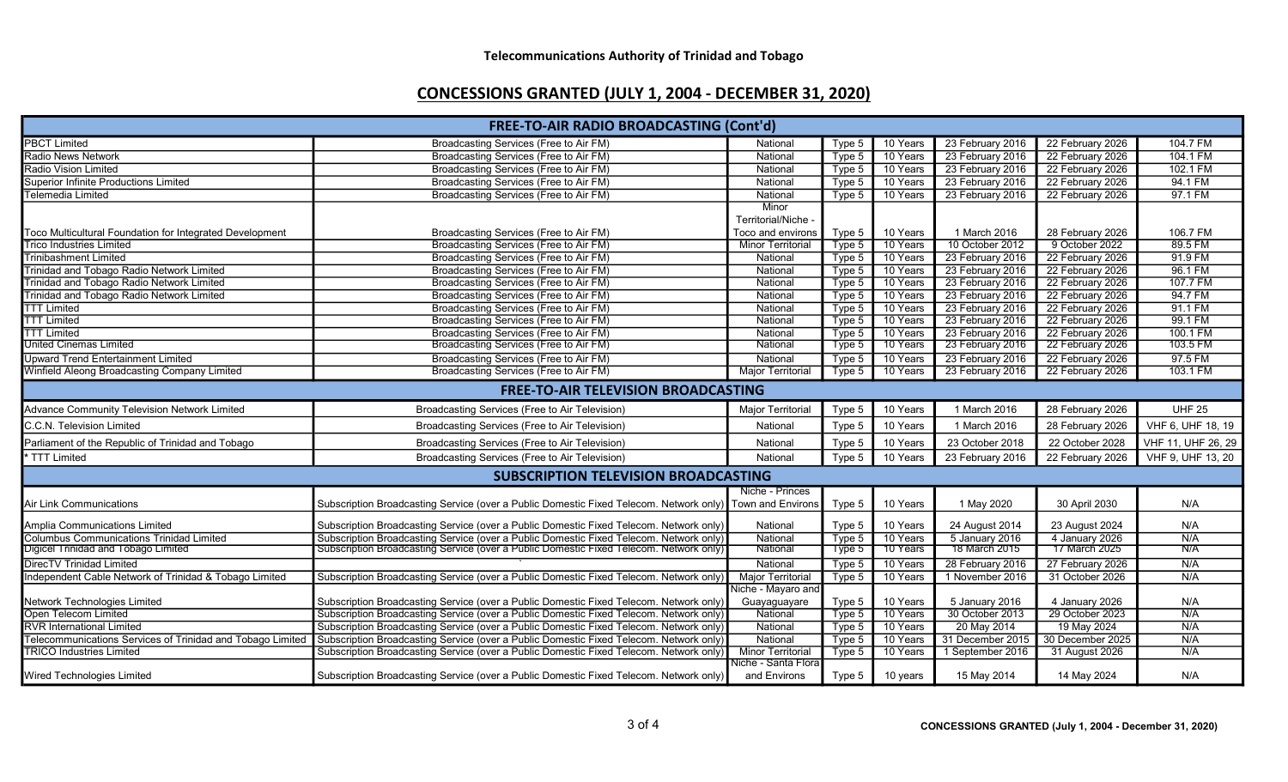| <b>FREE-TO-AIR RADIO BROADCASTING (Cont'd)</b>             |                                                                                                          |                                                 |        |          |                  |                  |                    |
|------------------------------------------------------------|----------------------------------------------------------------------------------------------------------|-------------------------------------------------|--------|----------|------------------|------------------|--------------------|
| <b>PBCT Limited</b>                                        | Broadcasting Services (Free to Air FM)                                                                   | National                                        | Type 5 | 10 Years | 23 February 2016 | 22 February 2026 | 104.7 FM           |
| Radio News Network                                         | Broadcasting Services (Free to Air FM)                                                                   | National                                        | Type 5 | 10 Years | 23 February 2016 | 22 February 2026 | 104.1 FM           |
| Radio Vision Limited                                       | <b>Broadcasting Services (Free to Air FM)</b>                                                            | National                                        | Type 5 | 10 Years | 23 February 2016 | 22 February 2026 | 102.1 FM           |
| <b>Superior Infinite Productions Limited</b>               | Broadcasting Services (Free to Air FM)                                                                   | National                                        | Type 5 | 10 Years | 23 February 2016 | 22 February 2026 | 94.1 FM            |
| Telemedia Limited                                          | Broadcasting Services (Free to Air FM)                                                                   | National                                        | Type 5 | 10 Years | 23 February 2016 | 22 February 2026 | 97.1 FM            |
| Toco Multicultural Foundation for Integrated Development   | Broadcasting Services (Free to Air FM)                                                                   | Minor<br>Territorial/Niche<br>Toco and environs | Type 5 | 10 Years | 1 March 2016     | 28 February 2026 | 106.7 FM           |
| <b>Trico Industries Limited</b>                            | Broadcasting Services (Free to Air FM)                                                                   | <b>Minor Territorial</b>                        | Type 5 | 10 Years | 10 October 2012  | 9 October 2022   | 89.5 FM            |
| Trinibashment Limited                                      | Broadcasting Services (Free to Air FM)                                                                   | National                                        | Type 5 | 10 Years | 23 February 2016 | 22 February 2026 | 91.9 FM            |
| Trinidad and Tobago Radio Network Limited                  | Broadcasting Services (Free to Air FM)                                                                   | National                                        | Type 5 | 10 Years | 23 February 2016 | 22 February 2026 | 96.1 FM            |
| Trinidad and Tobago Radio Network Limited                  | Broadcasting Services (Free to Air FM)                                                                   | National                                        | Type 5 | 10 Years | 23 February 2016 | 22 February 2026 | 107.7 FM           |
| Trinidad and Tobago Radio Network Limited                  | Broadcasting Services (Free to Air FM)                                                                   | National                                        | Type 5 | 10 Years | 23 February 2016 | 22 February 2026 | 94.7 FM            |
| <b>TTT Limited</b>                                         | Broadcasting Services (Free to Air FM)                                                                   | National                                        | Type 5 | 10 Years | 23 February 2016 | 22 February 2026 | 91.1 FM            |
| <b>TTT Limited</b>                                         | Broadcasting Services (Free to Air FM)                                                                   | National                                        | Type 5 | 10 Years | 23 February 2016 | 22 February 2026 | 99.1 FM            |
| <b>TTT Limited</b>                                         | Broadcasting Services (Free to Air FM)                                                                   | National                                        | Type 5 | 10 Years | 23 February 2016 | 22 February 2026 | 100.1 FM           |
| United Cinemas Limited                                     | Broadcasting Services (Free to Air FM)                                                                   | National                                        | Type 5 | 10 Years | 23 February 2016 | 22 February 2026 | 103.5 FM           |
| <b>Upward Trend Entertainment Limited</b>                  | Broadcasting Services (Free to Air FM)                                                                   | National                                        | Type 5 | 10 Years | 23 February 2016 | 22 February 2026 | 97.5 FM            |
| Winfield Aleong Broadcasting Company Limited               | Broadcasting Services (Free to Air FM)                                                                   | <b>Major Territoria</b>                         | Type 5 | 10 Years | 23 February 2016 | 22 February 2026 | 103.1 FM           |
| <b>FREE-TO-AIR TELEVISION BROADCASTING</b>                 |                                                                                                          |                                                 |        |          |                  |                  |                    |
| Advance Community Television Network Limited               | Broadcasting Services (Free to Air Television)                                                           | Major Territorial                               | Type 5 | 10 Years | 1 March 2016     | 28 February 2026 | <b>UHF 25</b>      |
| C.C.N. Television Limited                                  | Broadcasting Services (Free to Air Television)                                                           | National                                        | Type 5 | 10 Years | 1 March 2016     | 28 February 2026 | VHF 6, UHF 18, 19  |
| Parliament of the Republic of Trinidad and Tobago          | Broadcasting Services (Free to Air Television)                                                           | National                                        | Type 5 | 10 Years | 23 October 2018  | 22 October 2028  | VHF 11, UHF 26, 29 |
| TTT Limited                                                | Broadcasting Services (Free to Air Television)                                                           | National                                        | Type 5 | 10 Years | 23 February 2016 | 22 February 2026 | VHF 9, UHF 13, 20  |
|                                                            | <b>SUBSCRIPTION TELEVISION BROADCASTING</b>                                                              |                                                 |        |          |                  |                  |                    |
| Air Link Communications                                    | Subscription Broadcasting Service (over a Public Domestic Fixed Telecom. Network only) Town and Environs | Niche - Princes                                 | Type 5 | 10 Years | 1 May 2020       | 30 April 2030    | N/A                |
| Amplia Communications Limited                              | Subscription Broadcasting Service (over a Public Domestic Fixed Telecom. Network only)                   | National                                        | Type 5 | 10 Years | 24 August 2014   | 23 August 2024   | N/A                |
| <b>Columbus Communications Trinidad Limited</b>            | Subscription Broadcasting Service (over a Public Domestic Fixed Telecom. Network only)                   | National                                        | Type 5 | 10 Years | 5 January 2016   | 4 January 2026   | N/A                |
| Digicel Trinidad and Tobago Limited                        | Subscription Broadcasting Service (over a Public Domestic Fixed Telecom. Network only)                   | National                                        | Type 5 | 10 Years | 18 March 2015    | 17 March 2025    | N/A                |
| DirecTV Trinidad Limited                                   |                                                                                                          | National                                        | Type 5 | 10 Years | 28 February 2016 | 27 February 2026 | N/A                |
| Independent Cable Network of Trinidad & Tobago Limited     | Subscription Broadcasting Service (over a Public Domestic Fixed Telecom. Network only)                   | <b>Major Territorial</b>                        | Type 5 | 10 Years | 1 November 2016  | 31 October 2026  | N/A                |
| Network Technologies Limited                               | Subscription Broadcasting Service (over a Public Domestic Fixed Telecom. Network only)                   | Niche - Mayaro and<br>Guayaguayare              | Type 5 | 10 Years | 5 January 2016   | 4 January 2026   | N/A                |
| Open Telecom Limited                                       | Subscription Broadcasting Service (over a Public Domestic Fixed Telecom. Network only)                   | National                                        | Type 5 | 10 Years | 30 October 2013  | 29 October 2023  | N/A                |
| <b>RVR International Limited</b>                           | Subscription Broadcasting Service (over a Public Domestic Fixed Telecom. Network only)                   | National                                        | Type 5 | 10 Years | 20 May 2014      | 19 May 2024      | N/A                |
| Telecommunications Services of Trinidad and Tobago Limited | Subscription Broadcasting Service (over a Public Domestic Fixed Telecom. Network only)                   | National                                        | Type 5 | 10 Years | 31 December 2015 | 30 December 2025 | N/A                |
| <b>TRICO Industries Limited</b>                            | Subscription Broadcasting Service (over a Public Domestic Fixed Telecom. Network only)                   | <b>Minor Territorial</b>                        | Type 5 | 10 Years | 1 September 2016 | 31 August 2026   | N/A                |
| Wired Technologies Limited                                 | Subscription Broadcasting Service (over a Public Domestic Fixed Telecom. Network only)                   | Niche - Santa Flora<br>and Environs             | Type 5 | 10 years | 15 May 2014      | 14 May 2024      | N/A                |